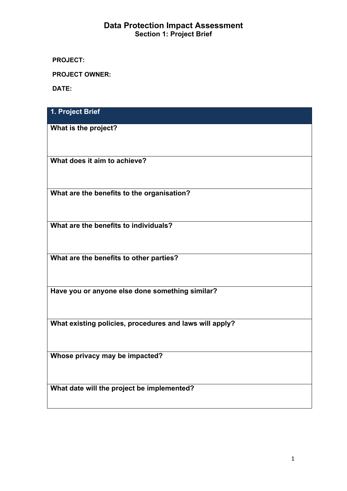# **Data Protection Impact Assessment Section 1: Project Brief**

**PROJECT:** 

**PROJECT OWNER:**

**DATE:**

| 1. Project Brief                                        |
|---------------------------------------------------------|
| What is the project?                                    |
| What does it aim to achieve?                            |
| What are the benefits to the organisation?              |
| What are the benefits to individuals?                   |
| What are the benefits to other parties?                 |
| Have you or anyone else done something similar?         |
| What existing policies, procedures and laws will apply? |
| Whose privacy may be impacted?                          |
| What date will the project be implemented?              |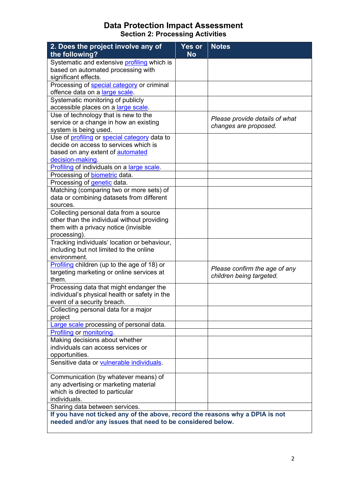# **Data Protection Impact Assessment Section 2: Processing Activities**

| 2. Does the project involve any of                                            | Yes or    | <b>Notes</b>                   |
|-------------------------------------------------------------------------------|-----------|--------------------------------|
| the following?                                                                | <b>No</b> |                                |
| Systematic and extensive profiling which is                                   |           |                                |
| based on automated processing with                                            |           |                                |
| significant effects.                                                          |           |                                |
| Processing of special category or criminal                                    |           |                                |
| offence data on a large scale.                                                |           |                                |
| Systematic monitoring of publicly                                             |           |                                |
| accessible places on a large scale.                                           |           |                                |
| Use of technology that is new to the                                          |           | Please provide details of what |
| service or a change in how an existing                                        |           | changes are proposed.          |
| system is being used.                                                         |           |                                |
| Use of profiling or special category data to                                  |           |                                |
| decide on access to services which is                                         |           |                                |
| based on any extent of automated                                              |           |                                |
| decision-making.                                                              |           |                                |
| Profiling of individuals on a large scale.                                    |           |                                |
| Processing of <b>biometric</b> data.                                          |           |                                |
| Processing of genetic data.                                                   |           |                                |
| Matching (comparing two or more sets) of                                      |           |                                |
| data or combining datasets from different                                     |           |                                |
| sources.                                                                      |           |                                |
| Collecting personal data from a source                                        |           |                                |
| other than the individual without providing                                   |           |                                |
| them with a privacy notice (invisible                                         |           |                                |
| processing).                                                                  |           |                                |
| Tracking individuals' location or behaviour,                                  |           |                                |
| including but not limited to the online                                       |           |                                |
| environment.                                                                  |           |                                |
| Profiling children (up to the age of 18) or                                   |           | Please confirm the age of any  |
| targeting marketing or online services at                                     |           | children being targeted.       |
| them.                                                                         |           |                                |
| Processing data that might endanger the                                       |           |                                |
| individual's physical health or safety in the                                 |           |                                |
| event of a security breach.                                                   |           |                                |
| Collecting personal data for a major                                          |           |                                |
| project                                                                       |           |                                |
| Large scale processing of personal data.                                      |           |                                |
| <b>Profiling or monitoring.</b>                                               |           |                                |
| Making decisions about whether                                                |           |                                |
| individuals can access services or                                            |           |                                |
| opportunities.                                                                |           |                                |
| Sensitive data or vulnerable individuals.                                     |           |                                |
|                                                                               |           |                                |
| Communication (by whatever means) of                                          |           |                                |
| any advertising or marketing material                                         |           |                                |
| which is directed to particular                                               |           |                                |
| individuals.                                                                  |           |                                |
| Sharing data between services.                                                |           |                                |
| If you have not ticked any of the above, record the reasons why a DPIA is not |           |                                |
| needed and/or any issues that need to be considered below.                    |           |                                |
|                                                                               |           |                                |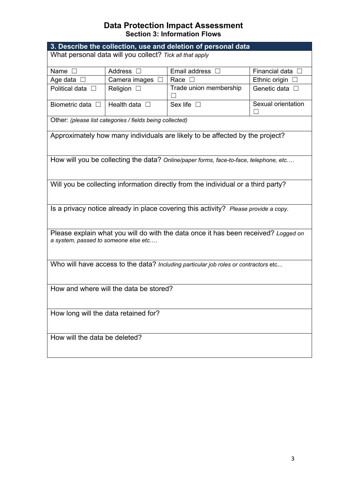# **Data Protection Impact Assessment Section 3: Information Flows**

| 3. Describe the collection, use and deletion of personal data                                                              |                                                          |                                                                                       |                          |  |
|----------------------------------------------------------------------------------------------------------------------------|----------------------------------------------------------|---------------------------------------------------------------------------------------|--------------------------|--|
| What personal data will you collect? Tick all that apply                                                                   |                                                          |                                                                                       |                          |  |
|                                                                                                                            |                                                          |                                                                                       |                          |  |
| Name $\square$                                                                                                             | Address $\square$                                        | Email address $\Box$                                                                  | Financial data $\square$ |  |
| Age data $\square$                                                                                                         | Camera images<br>$\Box$                                  | Race $\square$                                                                        | Ethnic origin $\Box$     |  |
| Political data $\square$                                                                                                   | Religion<br>$\perp$                                      | Trade union membership                                                                | Genetic data $\square$   |  |
| Biometric data $\Box$                                                                                                      | Health data $\square$                                    | Sex life $\Box$                                                                       | Sexual orientation       |  |
|                                                                                                                            | Other: (please list categories / fields being collected) |                                                                                       |                          |  |
|                                                                                                                            |                                                          | Approximately how many individuals are likely to be affected by the project?          |                          |  |
|                                                                                                                            |                                                          | How will you be collecting the data? Online/paper forms, face-to-face, telephone, etc |                          |  |
| Will you be collecting information directly from the individual or a third party?                                          |                                                          |                                                                                       |                          |  |
| Is a privacy notice already in place covering this activity? Please provide a copy.                                        |                                                          |                                                                                       |                          |  |
| Please explain what you will do with the data once it has been received? Logged on<br>a system, passed to someone else etc |                                                          |                                                                                       |                          |  |
| Who will have access to the data? Including particular job roles or contractors etc                                        |                                                          |                                                                                       |                          |  |
| How and where will the data be stored?                                                                                     |                                                          |                                                                                       |                          |  |
| How long will the data retained for?                                                                                       |                                                          |                                                                                       |                          |  |
| How will the data be deleted?                                                                                              |                                                          |                                                                                       |                          |  |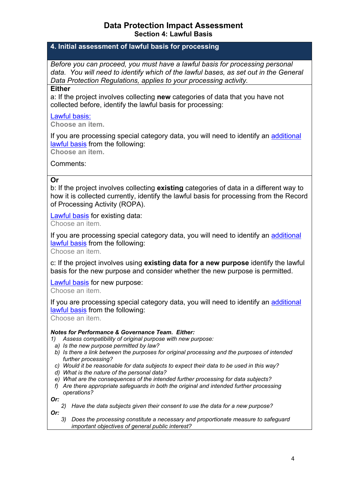## **Data Protection Impact Assessment Section 4: Lawful Basis**

## **4. Initial assessment of lawful basis for processing**

*Before you can proceed, you must have a lawful basis for processing personal data. You will need to identify which of the lawful bases, as set out in the General Data Protection Regulations, applies to your processing activity.*

#### **Either**

a: If the project involves collecting **new** categories of data that you have not collected before, identify the lawful basis for processing:

### [Lawful](#page-9-8) basis:

**Choose an item.**

If you are processing special category data, you will need to identify an [additional](#page-9-9) [lawful](#page-9-9) basis from the following:

**Choose an item.**

Comments:

## **Or**

b: If the project involves collecting **existing** categories of data in a different way to how it is collected currently, identify the lawful basis for processing from the Record of Processing Activity (ROPA).

[Lawful](#page-9-8) basis for existing data:

Choose an item.

If you are processing special category data, you will need to identify an [additional](#page-9-9) [lawful](#page-9-9) basis from the following:

Choose an item.

c: If the project involves using **existing data for a new purpose** identify the lawful basis for the new purpose and consider whether the new purpose is permitted.

[Lawful](#page-9-8) basis for new purpose:

Choose an item.

If you are processing special category data, you will need to identify an [additional](#page-9-9) [lawful](#page-9-9) basis from the following:

Choose an item.

#### *Notes for Performance & Governance Team. Either:*

*1) Assess compatibility of original purpose with new purpose:*

- *a) Is the new purpose permitted by law?*
- *b) Is there a link between the purposes for original processing and the purposes of intended further processing?*
- *c) Would it be reasonable for data subjects to expect their data to be used in this way?*
- *d) What is the nature of the personal data?*
- *e) What are the consequences of the intended further processing for data subjects?*
- *f) Are there appropriate safeguards in both the original and intended further processing operations?*

*Or:*

- *2) Have the data subjects given their consent to use the data for a new purpose? Or:*
	- *3) Does the processing constitute a necessary and proportionate measure to safeguard important objectives of general public interest?*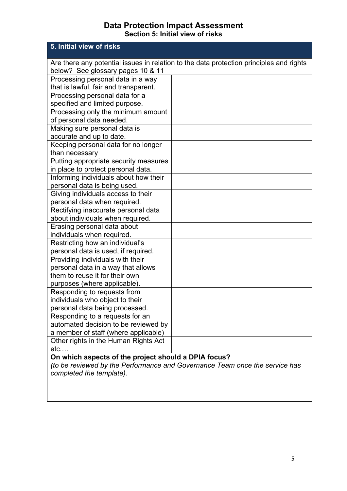# **Data Protection Impact Assessment Section 5: Initial view of risks**

| 5. Initial view of risks                             |                                                                                         |
|------------------------------------------------------|-----------------------------------------------------------------------------------------|
|                                                      | Are there any potential issues in relation to the data protection principles and rights |
| below? See glossary pages 10 & 11                    |                                                                                         |
| Processing personal data in a way                    |                                                                                         |
| that is lawful, fair and transparent.                |                                                                                         |
| Processing personal data for a                       |                                                                                         |
| specified and limited purpose.                       |                                                                                         |
| Processing only the minimum amount                   |                                                                                         |
| of personal data needed.                             |                                                                                         |
| Making sure personal data is                         |                                                                                         |
| accurate and up to date.                             |                                                                                         |
| Keeping personal data for no longer                  |                                                                                         |
| than necessary                                       |                                                                                         |
| Putting appropriate security measures                |                                                                                         |
| in place to protect personal data.                   |                                                                                         |
| Informing individuals about how their                |                                                                                         |
| personal data is being used.                         |                                                                                         |
| Giving individuals access to their                   |                                                                                         |
| personal data when required.                         |                                                                                         |
| Rectifying inaccurate personal data                  |                                                                                         |
| about individuals when required.                     |                                                                                         |
| Erasing personal data about                          |                                                                                         |
| individuals when required.                           |                                                                                         |
| Restricting how an individual's                      |                                                                                         |
| personal data is used, if required.                  |                                                                                         |
| Providing individuals with their                     |                                                                                         |
| personal data in a way that allows                   |                                                                                         |
| them to reuse it for their own                       |                                                                                         |
| purposes (where applicable).                         |                                                                                         |
| Responding to requests from                          |                                                                                         |
| individuals who object to their                      |                                                                                         |
| personal data being processed.                       |                                                                                         |
| Responding to a requests for an                      |                                                                                         |
| automated decision to be reviewed by                 |                                                                                         |
| a member of staff (where applicable)                 |                                                                                         |
| Other rights in the Human Rights Act                 |                                                                                         |
| $etc. \ldots$                                        |                                                                                         |
| On which aspects of the project should a DPIA focus? |                                                                                         |
|                                                      | (to be reviewed by the Performance and Governance Team once the service has             |
| completed the template).                             |                                                                                         |
|                                                      |                                                                                         |
|                                                      |                                                                                         |
|                                                      |                                                                                         |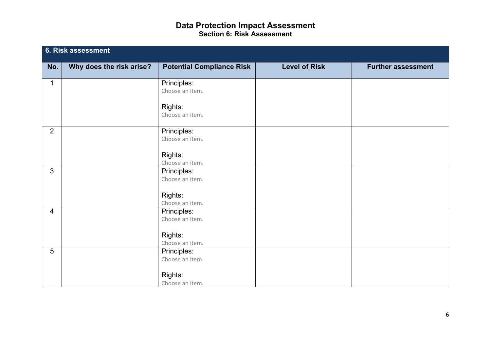## **Data Protection Impact Assessment Section 6: Risk Assessment**

|                | 6. Risk assessment       |                                  |                      |                           |  |  |
|----------------|--------------------------|----------------------------------|----------------------|---------------------------|--|--|
| No.            | Why does the risk arise? | <b>Potential Compliance Risk</b> | <b>Level of Risk</b> | <b>Further assessment</b> |  |  |
| $\mathbf 1$    |                          | Principles:<br>Choose an item.   |                      |                           |  |  |
|                |                          | Rights:<br>Choose an item.       |                      |                           |  |  |
| $\overline{2}$ |                          | Principles:<br>Choose an item.   |                      |                           |  |  |
|                |                          | Rights:<br>Choose an item.       |                      |                           |  |  |
| $\mathbf{3}$   |                          | Principles:<br>Choose an item.   |                      |                           |  |  |
|                |                          | Rights:<br>Choose an item.       |                      |                           |  |  |
| $\overline{4}$ |                          | Principles:<br>Choose an item.   |                      |                           |  |  |
|                |                          | Rights:<br>Choose an item.       |                      |                           |  |  |
| 5              |                          | Principles:<br>Choose an item.   |                      |                           |  |  |
|                |                          | Rights:<br>Choose an item.       |                      |                           |  |  |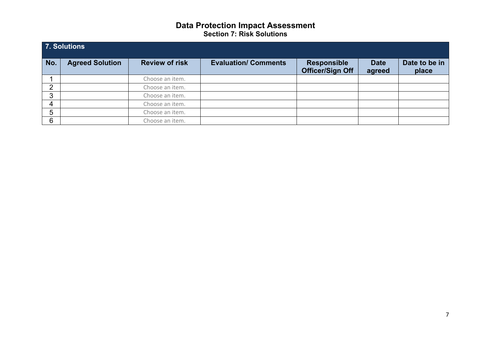# **Data Protection Impact Assessment Section 7: Risk Solutions**

| 7. Solutions   |                        |                       |                             |                                               |                       |                        |
|----------------|------------------------|-----------------------|-----------------------------|-----------------------------------------------|-----------------------|------------------------|
| No.            | <b>Agreed Solution</b> | <b>Review of risk</b> | <b>Evaluation/ Comments</b> | <b>Responsible</b><br><b>Officer/Sign Off</b> | <b>Date</b><br>agreed | Date to be in<br>place |
|                |                        | Choose an item.       |                             |                                               |                       |                        |
| $\overline{2}$ |                        | Choose an item.       |                             |                                               |                       |                        |
| 3              |                        | Choose an item.       |                             |                                               |                       |                        |
| $\overline{4}$ |                        | Choose an item.       |                             |                                               |                       |                        |
| 5              |                        | Choose an item.       |                             |                                               |                       |                        |
| 6              |                        | Choose an item.       |                             |                                               |                       |                        |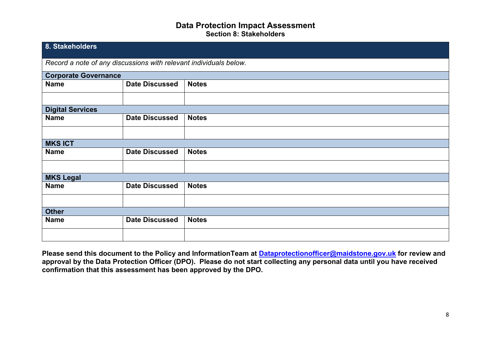## **Data Protection Impact Assessment Section 8: Stakeholders**

| 8. Stakeholders                                                   |                       |              |  |  |
|-------------------------------------------------------------------|-----------------------|--------------|--|--|
| Record a note of any discussions with relevant individuals below. |                       |              |  |  |
| <b>Corporate Governance</b>                                       |                       |              |  |  |
| <b>Name</b>                                                       | <b>Date Discussed</b> | <b>Notes</b> |  |  |
|                                                                   |                       |              |  |  |
| <b>Digital Services</b>                                           |                       |              |  |  |
| <b>Name</b>                                                       | <b>Date Discussed</b> | <b>Notes</b> |  |  |
|                                                                   |                       |              |  |  |
| <b>MKS ICT</b>                                                    |                       |              |  |  |
| <b>Name</b>                                                       | <b>Date Discussed</b> | <b>Notes</b> |  |  |
|                                                                   |                       |              |  |  |
| <b>MKS Legal</b>                                                  |                       |              |  |  |
| <b>Name</b>                                                       | <b>Date Discussed</b> | <b>Notes</b> |  |  |
|                                                                   |                       |              |  |  |
| <b>Other</b>                                                      |                       |              |  |  |
| <b>Name</b>                                                       | <b>Date Discussed</b> | <b>Notes</b> |  |  |
|                                                                   |                       |              |  |  |

**Please send this document to the Policy and InformationTeam at [Dataprotectionofficer@maidstone.gov.uk](mailto:Dataprotectionofficer@maidstone.gov.uk) for review and** approval by the Data Protection Officer (DPO). Please do not start collecting any personal data until you have received **confirmation that this assessment has been approved by the DPO.**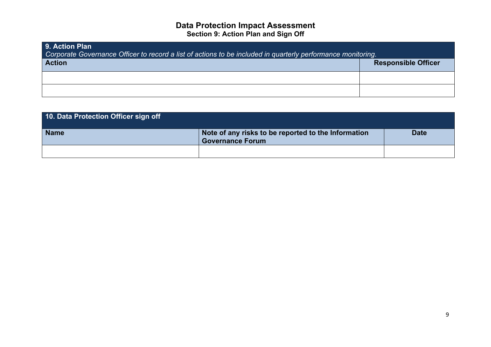## **Data Protection Impact Assessment Section 9: Action Plan and Sign Off**

| <b>9. Action Plan</b><br>Corporate Governance Officer to record a list of actions to be included in quarterly performance monitoring. |                            |  |  |  |
|---------------------------------------------------------------------------------------------------------------------------------------|----------------------------|--|--|--|
| <b>Action</b>                                                                                                                         | <b>Responsible Officer</b> |  |  |  |
|                                                                                                                                       |                            |  |  |  |
|                                                                                                                                       |                            |  |  |  |

| 10. Data Protection Officer sign off |                                                                                |             |
|--------------------------------------|--------------------------------------------------------------------------------|-------------|
| <b>Name</b>                          | Note of any risks to be reported to the Information<br><b>Governance Forum</b> | <b>Date</b> |
|                                      |                                                                                |             |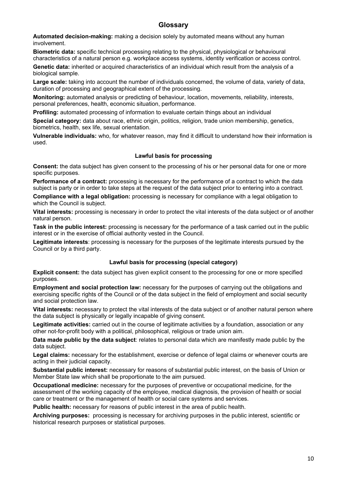### **Glossary**

<span id="page-9-3"></span>**Automated decision-making:** making a decision solely by automated means without any human involvement.

<span id="page-9-4"></span>**Biometric data:** specific technical processing relating to the physical, physiological or behavioural characteristics of a natural person e.g. workplace access systems, identity verification or access control.

<span id="page-9-5"></span>**Genetic data:** inherited or acquired characteristics of an individual which result from the analysis of a biological sample.

<span id="page-9-2"></span>**Large scale:** taking into account the number of individuals concerned, the volume of data, variety of data, duration of processing and geographical extent of the processing.

<span id="page-9-6"></span>**Monitoring:** automated analysis or predicting of behaviour, location, movements, reliability, interests, personal preferences, health, economic situation, performance.

<span id="page-9-0"></span>**Profiling:** automated processing of information to evaluate certain things about an individual

<span id="page-9-1"></span>**Special category:** data about race, ethnic origin, politics, religion, trade union membership, genetics, biometrics, health, sex life, sexual orientation.

<span id="page-9-8"></span><span id="page-9-7"></span>**Vulnerable individuals:** who, for whatever reason, may find it difficult to understand how their information is used.

#### **Lawful basis for processing**

**Consent:** the data subject has given consent to the processing of his or her personal data for one or more specific purposes.

**Performance of a contract:** processing is necessary for the performance of a contract to which the data subject is party or in order to take steps at the request of the data subject prior to entering into a contract.

**Compliance with a legal obligation:** processing is necessary for compliance with a legal obligation to which the Council is subject.

**Vital interests:** processing is necessary in order to protect the vital interests of the data subject or of another natural person.

**Task in the public interest:** processing is necessary for the performance of a task carried out in the public interest or in the exercise of official authority vested in the Council.

**Legitimate interests**: processing is necessary for the purposes of the legitimate interests pursued by the Council or by a third party.

#### <span id="page-9-9"></span>**Lawful basis for processing (special category)**

**Explicit consent:** the data subject has given explicit consent to the processing for one or more specified purposes.

**Employment and social protection law:** necessary for the purposes of carrying out the obligations and exercising specific rights of the Council or of the data subject in the field of employment and social security and social protection law.

**Vital interests:** necessary to protect the vital interests of the data subject or of another natural person where the data subject is physically or legally incapable of giving consent.

**Legitimate activities:** carried out in the course of legitimate activities by a foundation, association or any other not-for-profit body with a political, philosophical, religious or trade union aim.

**Data made public by the data subject**: relates to personal data which are manifestly made public by the data subject.

**Legal claims:** necessary for the establishment, exercise or defence of legal claims or whenever courts are acting in their judicial capacity.

**Substantial public interest:** necessary for reasons of substantial public interest, on the basis of Union or Member State law which shall be proportionate to the aim pursued.

**Occupational medicine:** necessary for the purposes of preventive or occupational medicine, for the assessment of the working capacity of the employee, medical diagnosis, the provision of health or social care or treatment or the management of health or social care systems and services.

**Public health:** necessary for reasons of public interest in the area of public health.

**Archiving purposes:** processing is necessary for archiving purposes in the public interest, scientific or historical research purposes or statistical purposes.